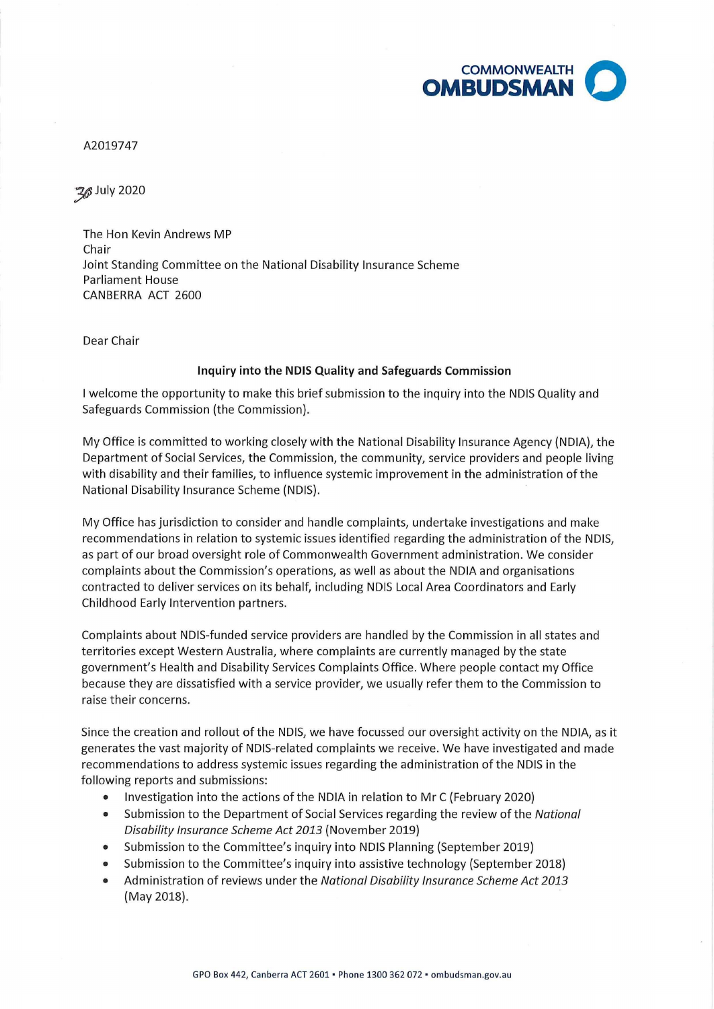

A2019747

J/} July 2020

The Hon Kevin Andrews MP Chair Joint Standing Committee on the National Disability Insurance Scheme Parliament House CANBERRA ACT 2600

Dear Chair

## **Inquiry into the NDIS Quality and Safeguards Commission**

I welcome the opportunity to make this brief submission to the inquiry into the NDIS Quality and Safeguards Commission (the Commission).

My Office is committed to working closely with the National Disability Insurance Agency {NOIA), the Department of Social Services, the Commission, the community, service providers and people living with disability and their families, to influence systemic improvement in the administration of the National Disability Insurance Scheme (NDIS).

My Office has jurisdiction to consider and handle complaints, undertake investigations and make recommendations in relation to systemic issues identified regarding the administration of the NDIS, as part of our broad oversight role of Commonwealth Government administration. We consider complaints about the Commission's operations, as well as about the NOIA and organisations contracted to deliver services on its behalf, including NDIS Local Area Coordinators and Early Childhood Early Intervention partners.

Complaints about NDIS-funded service providers are handled by the Commission in all states and territories except Western Australia, where complaints are currently managed by the state government's Health and Disability Services Complaints Office. Where people contact my Office because they are dissatisfied with a service provider, we usually refer them to the Commission to raise their concerns.

Since the creation and rollout of the NDIS, we have focussed our oversight activity on the NOIA, as it generates the vast majority of NDIS-related complaints we receive. We have investigated and made recommendations to address systemic issues regarding the administration of the NDIS in the following reports and submissions:

- Investigation into the actions of the NOIA in relation to Mr C (February 2020)
- Submission to the Department of Social Services regarding the review of the National Disability Insurance Scheme Act 2013 (November 2019)
- Submission to the Committee's inquiry into NDIS Planning (September 2019)
- Submission to the Committee's inquiry into assistive technology (September 2018)
- Administration of reviews under the National Disability Insurance Scheme Act 2013 (May 2018).